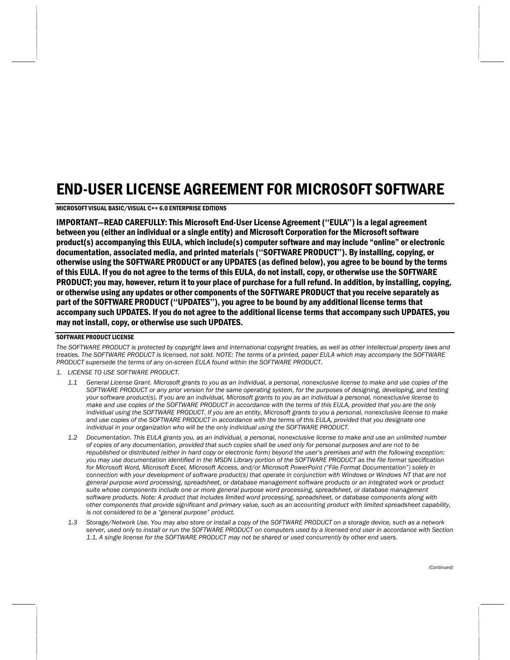# END-USER LICENSE AGREEMENT FOR MICROSOFT SOFTWARE

MICROSOFT VISUAL BASIC/VISUAL C++ 6.0 ENTERPRISE EDITIONS

IMPORTANT—READ CAREFULLY: This Microsoft End-User License Agreement (''EULA'') is a legal agreement between you (either an individual or a single entity) and Microsoft Corporation for the Microsoft software product(s) accompanying this EULA, which include(s) computer software and may include "online" or electronic documentation, associated media, and printed materials (''SOFTWARE PRODUCT''). By installing, copying, or otherwise using the SOFTWARE PRODUCT or any UPDATES (as defined below), you agree to be bound by the terms of this EULA. If you do not agree to the terms of this EULA, do not install, copy, or otherwise use the SOFTWARE PRODUCT; you may, however, return it to your place of purchase for a full refund. In addition, by installing, copying, or otherwise using any updates or other components of the SOFTWARE PRODUCT that you receive separately as part of the SOFTWARE PRODUCT (''UPDATES''), you agree to be bound by any additional license terms that accompany such UPDATES. If you do not agree to the additional license terms that accompany such UPDATES, you may not install, copy, or otherwise use such UPDATES.

# SOFTWARE PRODUCT LICENSE

The SOFTWARE PRODUCT is protected by copyright laws and international copyright treaties, as well as other intellectual property laws and treaties. The SOFTWARE PRODUCT is licensed, not sold. NOTE: The terms of a printed, paper EULA which may accompany the SOFTWARE PRODUCT supersede the terms of any on-screen EULA found within the SOFTWARE PRODUCT.

1. LICENSE TO USE SOFTWARE PRODUCT.

- General License Grant. Microsoft grants to you as an individual, a personal, nonexclusive license to make and use copies of the SOFTWARE PRODUCT or any prior version for the same operating system, for the purposes of designing, developing, and testing your software product(s). If you are an individual, Microsoft grants to you as an individual a personal, nonexclusive license to make and use copies of the SOFTWARE PRODUCT in accordance with the terms of this EULA, provided that you are the only individual using the SOFTWARE PRODUCT. If you are an entity, Microsoft grants to you a personal, nonexclusive license to make and use copies of the SOFTWARE PRODUCT in accordance with the terms of this EULA, provided that you designate one individual in your organization who will be the only individual using the SOFTWARE PRODUCT.
- 1.2 Documentation. This EULA grants you, as an individual, a personal, nonexclusive license to make and use an unlimited number of copies of any documentation, provided that such copies shall be used only for personal purposes and are not to be republished or distributed (either in hard copy or electronic form) beyond the user's premises and with the following exception: you may use documentation identified in the MSDN Library portion of the SOFTWARE PRODUCT as the file format specification for Microsoft Word, Microsoft Excel, Microsoft Access, and/or Microsoft PowerPoint ("File Format Documentation") solely in connection with your development of software product(s) that operate in conjunction with Windows or Windows NT that are not general purpose word processing, spreadsheet, or database management software products or an integrated work or product suite whose components include one or more general purpose word processing, spreadsheet, or database management software products. Note: A product that includes limited word processing, spreadsheet, or database components along with other components that provide significant and primary value, such as an accounting product with limited spreadsheet capability, is not considered to be a "general purpose" product.
- 1.3 Storage/Network Use. You may also store or install a copy of the SOFTWARE PRODUCT on a storage device, such as a network server, used only to install or run the SOFTWARE PRODUCT on computers used by a licensed end user in accordance with Section 1.1. A single license for the SOFTWARE PRODUCT may not be shared or used concurrently by other end users.

(Continued)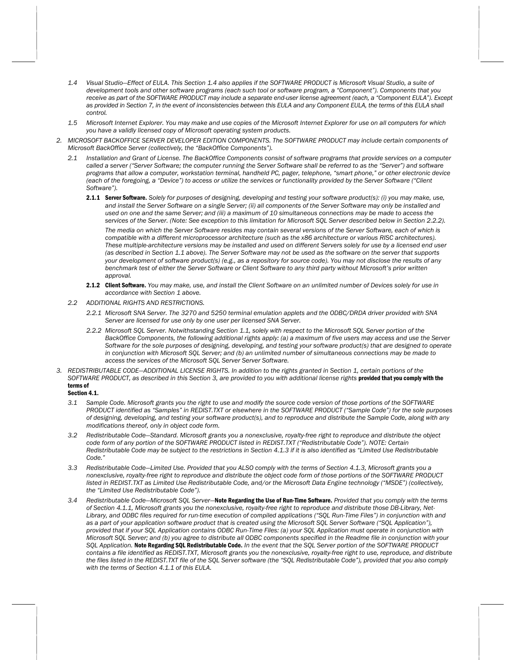- 1.4 Visual Studio—Effect of EULA. This Section 1.4 also applies if the SOFTWARE PRODUCT is Microsoft Visual Studio, a suite of development tools and other software programs (each such tool or software program, a "Component"). Components that you receive as part of the SOFTWARE PRODUCT may include a separate end-user license agreement (each, a "Component EULA"). Except as provided in Section 7, in the event of inconsistencies between this EULA and any Component EULA, the terms of this EULA shall control.
- 1.5 Microsoft Internet Explorer. You may make and use copies of the Microsoft Internet Explorer for use on all computers for which you have a validly licensed copy of Microsoft operating system products.
- 2. MICROSOFT BACKOFFICE SERVER DEVELOPER EDITION COMPONENTS. The SOFTWARE PRODUCT may include certain components of Microsoft BackOffice Server (collectively, the "BackOffice Components").
	- 2.1 Installation and Grant of License. The BackOffice Components consist of software programs that provide services on a computer called a server ("Server Software; the computer running the Server Software shall be referred to as the "Server") and software programs that allow a computer, workstation terminal, handheld PC, pager, telephone, "smart phone," or other electronic device (each of the foregoing, a "Device") to access or utilize the services or functionality provided by the Server Software ("Client Software").
		- 2.1.1 Server Software. Solely for purposes of designing, developing and testing your software product(s): (i) you may make, use, and install the Server Software on a single Server; (ii) all components of the Server Software may only be installed and used on one and the same Server; and (iii) a maximum of 10 simultaneous connections may be made to access the services of the Server. (Note: See exception to this limitation for Microsoft SOL Server described below in Section 2.2.2).

 The media on which the Server Software resides may contain several versions of the Server Software, each of which is compatible with a different microprocessor architecture (such as the x86 architecture or various RISC architectures). These multiple-architecture versions may be installed and used on different Servers solely for use by a licensed end user (as described in Section 1.1 above). The Server Software may not be used as the software on the server that supports your development of software product(s) (e.g., as a repository for source code). You may not disclose the results of any benchmark test of either the Server Software or Client Software to any third party without Microsoft's prior written approval.

- 2.1.2 Client Software. You may make, use, and install the Client Software on an unlimited number of Devices solely for use in accordance with Section 1 above.
- 2.2 ADDITIONAL RIGHTS AND RESTRICTIONS.
	- 2.2.1 Microsoft SNA Server. The 3270 and 5250 terminal emulation applets and the ODBC/DRDA driver provided with SNA Server are licensed for use only by one user per licensed SNA Server.
	- 2.2.2 Microsoft SQL Server. Notwithstanding Section 1.1, solely with respect to the Microsoft SQL Server portion of the BackOffice Components, the following additional rights apply: (a) a maximum of five users may access and use the Server Software for the sole purposes of designing, developing, and testing your software product(s) that are designed to operate in conjunction with Microsoft SQL Server; and (b) an unlimited number of simultaneous connections may be made to access the services of the Microsoft SQL Server Server Software.
- 3. REDISTRIBUTABLE CODE—ADDITIONAL LICENSE RIGHTS. In addition to the rights granted in Section 1, certain portions of the SOFTWARE PRODUCT, as described in this Section 3, are provided to you with additional license rights provided that you comply with the terms of

## Section 4.1.

- 3.1 Sample Code. Microsoft grants you the right to use and modify the source code version of those portions of the SOFTWARE PRODUCT identified as "Samples" in REDIST.TXT or elsewhere in the SOFTWARE PRODUCT ("Sample Code") for the sole purposes of designing, developing, and testing your software product(s), and to reproduce and distribute the Sample Code, along with any modifications thereof, only in object code form.
- 3.2 Redistributable Code—Standard. Microsoft grants you a nonexclusive, royalty-free right to reproduce and distribute the object code form of any portion of the SOFTWARE PRODUCT listed in REDIST.TXT ("Redistributable Code"). NOTE: Certain Redistributable Code may be subject to the restrictions in Section 4.1.3 if it is also identified as "Limited Use Redistributable Code<sup>"</sup>
- 3.3 Redistributable Code—Limited Use. Provided that you ALSO comply with the terms of Section 4.1.3, Microsoft grants you a nonexclusive, royalty-free right to reproduce and distribute the object code form of those portions of the SOFTWARE PRODUCT listed in REDIST.TXT as Limited Use Redistributable Code, and/or the Microsoft Data Engine technology ("MSDE") (collectively, the "Limited Use Redistributable Code").
- 3.4 Redistributable Code-Microsoft SQL Server-Note Regarding the Use of Run-Time Software. Provided that you comply with the terms of Section 4.1.1, Microsoft grants you the nonexclusive, royalty-free right to reproduce and distribute those DB-Library, Net-Library, and ODBC files required for run-time execution of compiled applications ("SQL Run-Time Files") in conjunction with and as a part of your application software product that is created using the Microsoft SQL Server Software ("SQL Application"), provided that if your SQL Application contains ODBC Run-Time Files: (a) your SQL Application must operate in conjunction with Microsoft SQL Server; and (b) you agree to distribute all ODBC components specified in the Readme file in conjunction with your SQL Application. Note Regarding SQL Redistributable Code. In the event that the SQL Server portion of the SOFTWARE PRODUCT contains a file identified as REDIST.TXT, Microsoft grants you the nonexclusive, royalty-free right to use, reproduce, and distribute the files listed in the REDIST.TXT file of the SQL Server software (the "SQL Redistributable Code"), provided that you also comply with the terms of Section 4.1.1 of this EULA.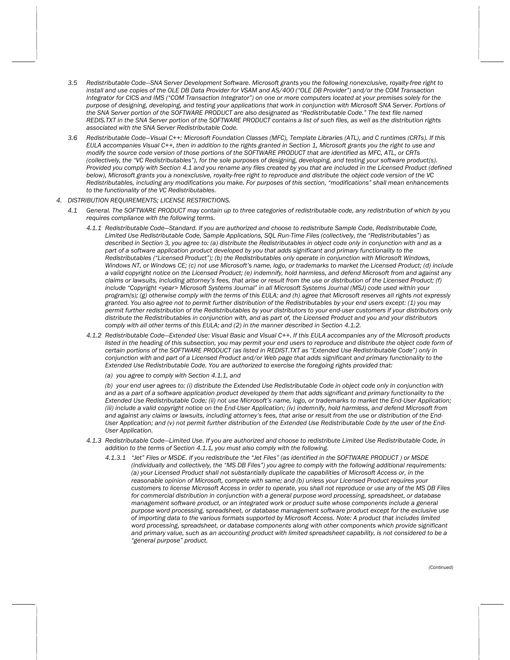- 3.5 Redistributable Code—SNA Server Development Software. Microsoft grants you the following nonexclusive, royalty-free right to install and use copies of the OLE DB Data Provider for VSAM and AS/400 ("OLE DB Provider") and/or the COM Transaction Integrator for CICS and IMS ("COM Transaction Integrator") on one or more computers located at your premises solely for the purpose of designing, developing, and testing your applications that work in conjunction with Microsoft SNA Server. Portions of the SNA Server portion of the SOFTWARE PRODUCT are also designated as "Redistributable Code." The text file named REDIS.TXT in the SNA Server portion of the SOFTWARE PRODUCT contains a list of such files, as well as the distribution rights associated with the SNA Server Redistributable Code.
- 3.6 Redistributable Code—Visual C++: Microsoft Foundation Classes (MFC), Template Libraries (ATL), and C runtimes (CRTs). If this EULA accompanies Visual C++, then in addition to the rights granted in Section 1, Microsoft grants you the right to use and modify the source code version of those portions of the SOFTWARE PRODUCT that are identified as MFC, ATL, or CRTs (collectively, the "VC Redistributables"), for the sole purposes of designing, developing, and testing your software product(s). Provided you comply with Section 4.1 and you rename any files created by you that are included in the Licensed Product (defined below), Microsoft grants you a nonexclusive, royalty-free right to reproduce and distribute the object code version of the VC Redistributables, including any modifications you make. For purposes of this section, "modifications" shall mean enhancements to the functionality of the VC Redistributables.
- 4. DISTRIBUTION REQUIREMENTS; LICENSE RESTRICTIONS.
	- 4.1 General. The SOFTWARE PRODUCT may contain up to three categories of redistributable code, any redistribution of which by you requires compliance with the following terms.
		- 4.1.1 Redistributable Code—Standard. If you are authorized and choose to redistribute Sample Code, Redistributable Code, Limited Use Redistributable Code, Sample Applications, SQL Run-Time Files (collectively, the "Redistributables") as described in Section 3, you agree to: (a) distribute the Redistributables in object code only in conjunction with and as a part of a software application product developed by you that adds significant and primary functionality to the Redistributables ("Licensed Product"); (b) the Redistributables only operate in conjunction with Microsoft Windows, Windows NT, or Windows CE; (c) not use Microsoft's name, logo, or trademarks to market the Licensed Product; (d) include a valid copyright notice on the Licensed Product; (e) indemnify, hold harmless, and defend Microsoft from and against any claims or lawsuits, including attorney's fees, that arise or result from the use or distribution of the Licensed Product; (f) include "Copyright <year> Microsoft Systems Journal" in all Microsoft Systems Journal (MSJ) code used within your program(s); (g) otherwise comply with the terms of this EULA; and (h) agree that Microsoft reserves all rights not expressly granted. You also agree not to permit further distribution of the Redistributables by your end users except: (1) you may permit further redistribution of the Redistributables by your distributors to your end-user customers if your distributors only distribute the Redistributables in conjunction with, and as part of, the Licensed Product and you and your distributors comply with all other terms of this EULA; and (2) in the manner described in Section 4.1.2.
		- 4.1.2 Redistributable Code—Extended Use: Visual Basic and Visual C++. If this EULA accompanies any of the Microsoft products listed in the heading of this subsection, you may permit your end users to reproduce and distribute the object code form of certain portions of the SOFTWARE PRODUCT (as listed in REDIST.TXT as "Extended Use Redistributable Code") only in conjunction with and part of a Licensed Product and/or Web page that adds significant and primary functionality to the Extended Use Redistributable Code. You are authorized to exercise the foregoing rights provided that:
			- (a) you agree to comply with Section 4.1.1, and

 (b) your end user agrees to: (i) distribute the Extended Use Redistributable Code in object code only in conjunction with and as a part of a software application product developed by them that adds significant and primary functionality to the Extended Use Redistributable Code; (ii) not use Microsoft's name, logo, or trademarks to market the End-User Application; (iii) include a valid copyright notice on the End-User Application; (iv) indemnify, hold harmless, and defend Microsoft from and against any claims or lawsuits, including attorney's fees, that arise or result from the use or distribution of the End-User Application; and (v) not permit further distribution of the Extended Use Redistributable Code by the user of the End-User Application.

- 4.1.3 Redistributable Code—Limited Use. If you are authorized and choose to redistribute Limited Use Redistributable Code, in addition to the terms of Section 4.1.1, you must also comply with the following.
	- 4.1.3.1 "Jet" Files or MSDE. If you redistribute the "Jet Files" (as identified in the SOFTWARE PRODUCT ) or MSDE (individually and collectively, the "MS DB Files") you agree to comply with the following additional requirements: (a) your Licensed Product shall not substantially duplicate the capabilities of Microsoft Access or, in the reasonable opinion of Microsoft, compete with same; and (b) unless your Licensed Product requires your customers to license Microsoft Access in order to operate, you shall not reproduce or use any of the MS DB Files for commercial distribution in conjunction with a general purpose word processing, spreadsheet, or database management software product, or an integrated work or product suite whose components include a general purpose word processing, spreadsheet, or database management software product except for the exclusive use of importing data to the various formats supported by Microsoft Access. Note: A product that includes limited word processing, spreadsheet, or database components along with other components which provide significant and primary value, such as an accounting product with limited spreadsheet capability, is not considered to be a "general purpose" product.

(Continued)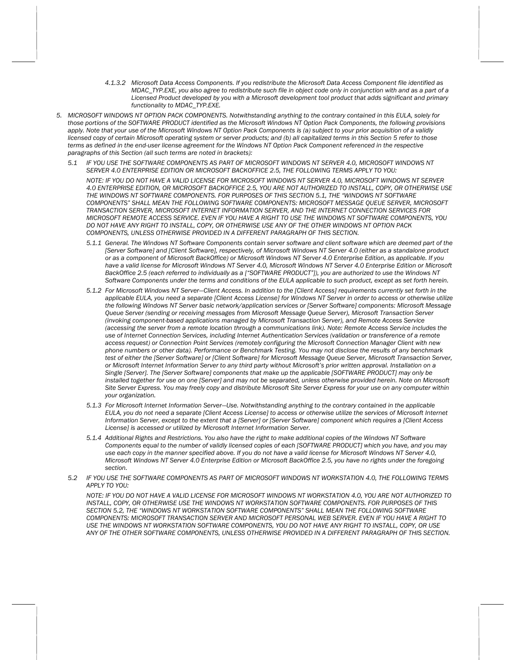- 4.1.3.2 Microsoft Data Access Components. If you redistribute the Microsoft Data Access Component file identified as MDAC TYP.EXE, you also agree to redistribute such file in object code only in conjunction with and as a part of a Licensed Product developed by you with a Microsoft development tool product that adds significant and primary functionality to MDAC\_TYP.EXE.
- 5. MICROSOFT WINDOWS NT OPTION PACK COMPONENTS. Notwithstanding anything to the contrary contained in this EULA, solely for those portions of the SOFTWARE PRODUCT identified as the Microsoft Windows NT Option Pack Components, the following provisions apply. Note that your use of the Microsoft Windows NT Option Pack Components is (a) subject to your prior acquisition of a validly licensed copy of certain Microsoft operating system or server products; and (b) all capitalized terms in this Section 5 refer to those terms as defined in the end-user license agreement for the Windows NT Option Pack Component referenced in the respective paragraphs of this Section (all such terms are noted in brackets):
	- 5.1 IF YOU USE THE SOFTWARE COMPONENTS AS PART OF MICROSOFT WINDOWS NT SERVER 4.0, MICROSOFT WINDOWS NT SERVER 4.0 ENTERPRISE EDITION OR MICROSOFT BACKOFFICE 2.5, THE FOLLOWING TERMS APPLY TO YOU:

 NOTE: IF YOU DO NOT HAVE A VALID LICENSE FOR MICROSOFT WINDOWS NT SERVER 4.0, MICROSOFT WINDOWS NT SERVER 4.0 ENTERPRISE EDITION, OR MICROSOFT BACKOFFICE 2.5, YOU ARE NOT AUTHORIZED TO INSTALL, COPY, OR OTHERWISE USE THE WINDOWS NT SOFTWARE COMPONENTS. FOR PURPOSES OF THIS SECTION 5.1, THE "WINDOWS NT SOFTWARE COMPONENTS" SHALL MEAN THE FOLLOWING SOFTWARE COMPONENTS: MICROSOFT MESSAGE QUEUE SERVER, MICROSOFT TRANSACTION SERVER, MICROSOFT INTERNET INFORMATION SERVER, AND THE INTERNET CONNECTION SERVICES FOR MICROSOFT REMOTE ACCESS SERVICE. EVEN IF YOU HAVE A RIGHT TO USE THE WINDOWS NT SOFTWARE COMPONENTS, YOU DO NOT HAVE ANY RIGHT TO INSTALL, COPY, OR OTHERWISE USE ANY OF THE OTHER WINDOWS NT OPTION PACK COMPONENTS, UNLESS OTHERWISE PROVIDED IN A DIFFERENT PARAGRAPH OF THIS SECTION.

- 5.1.1 General. The Windows NT Software Components contain server software and client software which are deemed part of the [Server Software] and [Client Software], respectively, of Microsoft Windows NT Server 4.0 (either as a standalone product or as a component of Microsoft BackOffice) or Microsoft Windows NT Server 4.0 Enterprise Edition, as applicable. If you have a valid license for Microsoft Windows NT Server 4.0, Microsoft Windows NT Server 4.0 Enterprise Edition or Microsoft BackOffice 2.5 (each referred to individually as a ["SOFTWARE PRODUCT"]), you are authorized to use the Windows NT Software Components under the terms and conditions of the EULA applicable to such product, except as set forth herein.
- 5.1.2 For Microsoft Windows NT Server—Client Access. In addition to the [Client Access] requirements currently set forth in the applicable EULA, you need a separate [Client Access License] for Windows NT Server in order to access or otherwise utilize the following Windows NT Server basic network/application services or [Server Software] components: Microsoft Message Queue Server (sending or receiving messages from Microsoft Message Queue Server), Microsoft Transaction Server (invoking component-based applications managed by Microsoft Transaction Server), and Remote Access Service (accessing the server from a remote location through a communications link). Note: Remote Access Service includes the use of Internet Connection Services, including Internet Authentication Services (validation or transference of a remote access request) or Connection Point Services (remotely configuring the Microsoft Connection Manager Client with new phone numbers or other data). Performance or Benchmark Testing. You may not disclose the results of any benchmark .<br>test of either the [Server Software] or [Client Software] for Microsoft Message Queue Server, Microsoft Transaction Server, or Microsoft Internet Information Server to any third party without Microsoft's prior written approval. Installation on a Single [Server]. The [Server Software] components that make up the applicable [SOFTWARE PRODUCT] may only be installed together for use on one [Server] and may not be separated, unless otherwise provided herein. Note on Microsoft Site Server Express. You may freely copy and distribute Microsoft Site Server Express for your use on any computer within your organization.
- 5.1.3 For Microsoft Internet Information Server—Use. Notwithstanding anything to the contrary contained in the applicable EULA, you do not need a separate [Client Access License] to access or otherwise utilize the services of Microsoft Internet Information Server, except to the extent that a [Server] or [Server Software] component which requires a [Client Access License] is accessed or utilized by Microsoft Internet Information Server.
- 5.1.4 Additional Rights and Restrictions. You also have the right to make additional copies of the Windows NT Software Components equal to the number of validly licensed copies of each [SOFTWARE PRODUCT] which you have, and you may use each copy in the manner specified above. If you do not have a valid license for Microsoft Windows NT Server 4.0, Microsoft Windows NT Server 4.0 Enterprise Edition or Microsoft BackOffice 2.5, you have no rights under the foregoing section.
- 5.2 IF YOU USE THE SOFTWARE COMPONENTS AS PART OF MICROSOFT WINDOWS NT WORKSTATION 4.0, THE FOLLOWING TERMS APPLY TO YOU:

 NOTE: IF YOU DO NOT HAVE A VALID LICENSE FOR MICROSOFT WINDOWS NT WORKSTATION 4.0, YOU ARE NOT AUTHORIZED TO INSTALL, COPY, OR OTHERWISE USE THE WINDOWS NT WORKSTATION SOFTWARE COMPONENTS. FOR PURPOSES OF THIS SECTION 5.2, THE "WINDOWS NT WORKSTATION SOFTWARE COMPONENTS" SHALL MEAN THE FOLLOWING SOFTWARE COMPONENTS: MICROSOFT TRANSACTION SERVER AND MICROSOFT PERSONAL WEB SERVER. EVEN IF YOU HAVE A RIGHT TO USE THE WINDOWS NT WORKSTATION SOFTWARE COMPONENTS, YOU DO NOT HAVE ANY RIGHT TO INSTALL, COPY, OR USE ANY OF THE OTHER SOFTWARE COMPONENTS, UNLESS OTHERWISE PROVIDED IN A DIFFERENT PARAGRAPH OF THIS SECTION.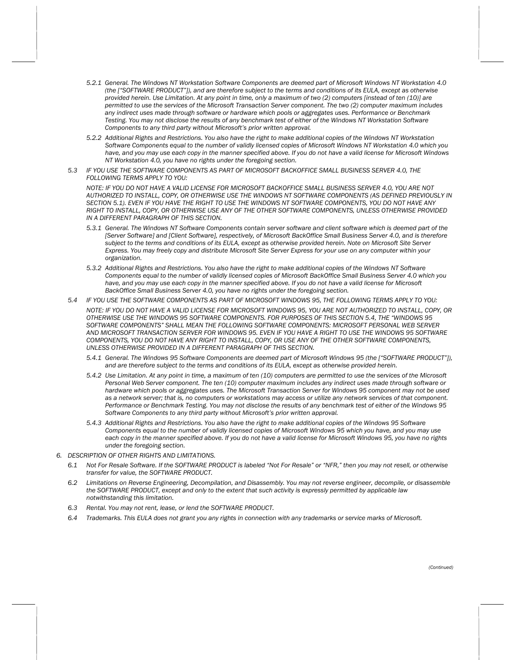- 5.2.1 General. The Windows NT Workstation Software Components are deemed part of Microsoft Windows NT Workstation 4.0 (the ["SOFTWARE PRODUCT"]), and are therefore subject to the terms and conditions of its EULA, except as otherwise provided herein. Use Limitation. At any point in time, only a maximum of two (2) computers [instead of ten (10)] are permitted to use the services of the Microsoft Transaction Server component. The two (2) computer maximum includes any indirect uses made through software or hardware which pools or aggregates uses. Performance or Benchmark Testing. You may not disclose the results of any benchmark test of either of the Windows NT Workstation Software Components to any third party without Microsoft's prior written approval.
- 5.2.2 Additional Rights and Restrictions. You also have the right to make additional copies of the Windows NT Workstation Software Components equal to the number of validly licensed copies of Microsoft Windows NT Workstation 4.0 which you have, and you may use each copy in the manner specified above. If you do not have a valid license for Microsoft Windows NT Workstation 4.0, you have no rights under the foregoing section.
- 5.3 IF YOU USE THE SOFTWARE COMPONENTS AS PART OF MICROSOFT BACKOFFICE SMALL BUSINESS SERVER 4.0, THE FOLLOWING TERMS APPLY TO YOU:

 NOTE: IF YOU DO NOT HAVE A VALID LICENSE FOR MICROSOFT BACKOFFICE SMALL BUSINESS SERVER 4.0, YOU ARE NOT AUTHORIZED TO INSTALL, COPY, OR OTHERWISE USE THE WINDOWS NT SOFTWARE COMPONENTS (AS DEFINED PREVIOUSLY IN SECTION 5.1). EVEN IF YOU HAVE THE RIGHT TO USE THE WINDOWS NT SOFTWARE COMPONENTS, YOU DO NOT HAVE ANY RIGHT TO INSTALL, COPY, OR OTHERWISE USE ANY OF THE OTHER SOFTWARE COMPONENTS, UNLESS OTHERWISE PROVIDED IN A DIFFERENT PARAGRAPH OF THIS SECTION.

- 5.3.1 General. The Windows NT Software Components contain server software and client software which is deemed part of the [Server Software] and [Client Software], respectively, of Microsoft BackOffice Small Business Server 4.0, and is therefore subject to the terms and conditions of its EULA, except as otherwise provided herein. Note on Microsoft Site Server Express. You may freely copy and distribute Microsoft Site Server Express for your use on any computer within your organization.
- 5.3.2 Additional Rights and Restrictions. You also have the right to make additional copies of the Windows NT Software Components equal to the number of validly licensed copies of Microsoft BackOffice Small Business Server 4.0 which you have, and you may use each copy in the manner specified above. If you do not have a valid license for Microsoft BackOffice Small Business Server 4.0, you have no rights under the foregoing section.
- 5.4 IF YOU USE THE SOFTWARE COMPONENTS AS PART OF MICROSOFT WINDOWS 95, THE FOLLOWING TERMS APPLY TO YOU: NOTE: IF YOU DO NOT HAVE A VALID LICENSE FOR MICROSOFT WINDOWS 95, YOU ARE NOT AUTHORIZED TO INSTALL, COPY, OR OTHERWISE USE THE WINDOWS 95 SOFTWARE COMPONENTS. FOR PURPOSES OF THIS SECTION 5.4, THE "WINDOWS 95 SOFTWARE COMPONENTS" SHALL MEAN THE FOLLOWING SOFTWARE COMPONENTS: MICROSOFT PERSONAL WEB SERVER AND MICROSOFT TRANSACTION SERVER FOR WINDOWS 95. EVEN IF YOU HAVE A RIGHT TO USE THE WINDOWS 95 SOFTWARE COMPONENTS, YOU DO NOT HAVE ANY RIGHT TO INSTALL, COPY, OR USE ANY OF THE OTHER SOFTWARE COMPONENTS, UNLESS OTHERWISE PROVIDED IN A DIFFERENT PARAGRAPH OF THIS SECTION.
	- 5.4.1 General. The Windows 95 Software Components are deemed part of Microsoft Windows 95 (the ["SOFTWARE PRODUCT"]), and are therefore subject to the terms and conditions of its EULA, except as otherwise provided herein.
	- 5.4.2 Use Limitation. At any point in time, a maximum of ten (10) computers are permitted to use the services of the Microsoft Personal Web Server component. The ten (10) computer maximum includes any indirect uses made through software or hardware which pools or aggregates uses. The Microsoft Transaction Server for Windows 95 component may not be used as a network server; that is, no computers or workstations may access or utilize any network services of that component. Performance or Benchmark Testing. You may not disclose the results of any benchmark test of either of the Windows 95 Software Components to any third party without Microsoft's prior written approval.
	- 5.4.3 Additional Rights and Restrictions. You also have the right to make additional copies of the Windows 95 Software Components equal to the number of validly licensed copies of Microsoft Windows 95 which you have, and you may use each copy in the manner specified above. If you do not have a valid license for Microsoft Windows 95, you have no rights under the foregoing section.
- 6. DESCRIPTION OF OTHER RIGHTS AND LIMITATIONS.
	- 6.1 Not For Resale Software. If the SOFTWARE PRODUCT is labeled "Not For Resale" or "NFR," then you may not resell, or otherwise transfer for value, the SOFTWARE PRODUCT.
	- 6.2 Limitations on Reverse Engineering, Decompilation, and Disassembly. You may not reverse engineer, decompile, or disassemble the SOFTWARE PRODUCT, except and only to the extent that such activity is expressly permitted by applicable law notwithstanding this limitation.
	- 6.3 Rental. You may not rent, lease, or lend the SOFTWARE PRODUCT.
	- 6.4 Trademarks. This EULA does not grant you any rights in connection with any trademarks or service marks of Microsoft.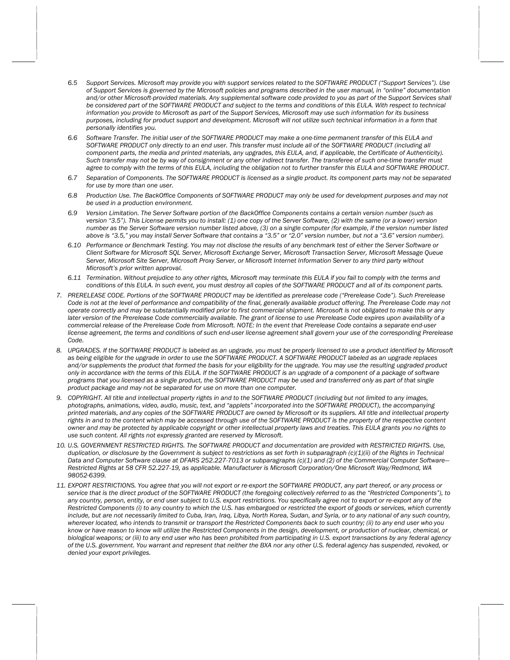- 6.5 Support Services. Microsoft may provide you with support services related to the SOFTWARE PRODUCT ("Support Services"). Use of Support Services is governed by the Microsoft policies and programs described in the user manual, in "online" documentation and/or other Microsoft-provided materials. Any supplemental software code provided to you as part of the Support Services shall be considered part of the SOFTWARE PRODUCT and subject to the terms and conditions of this EULA. With respect to technical information you provide to Microsoft as part of the Support Services, Microsoft may use such information for its business purposes, including for product support and development. Microsoft will not utilize such technical information in a form that personally identifies you.
- 6.6 Software Transfer. The initial user of the SOFTWARE PRODUCT may make a one-time permanent transfer of this EULA and SOFTWARE PRODUCT only directly to an end user. This transfer must include all of the SOFTWARE PRODUCT (including all component parts, the media and printed materials, any upgrades, this EULA, and, if applicable, the Certificate of Authenticity). Such transfer may not be by way of consignment or any other indirect transfer. The transferee of such one-time transfer must agree to comply with the terms of this EULA, including the obligation not to further transfer this EULA and SOFTWARE PRODUCT.
- 6.7 Separation of Components. The SOFTWARE PRODUCT is licensed as a single product. Its component parts may not be separated for use by more than one user.
- 6.8 Production Use. The BackOffice Components of SOFTWARE PRODUCT may only be used for development purposes and may not be used in a production environment.
- 6.9 Version Limitation. The Server Software portion of the BackOffice Components contains a certain version number (such as version "3.5"). This License permits you to install: (1) one copy of the Server Software, (2) with the same (or a lower) version number as the Server Software version number listed above, (3) on a single computer (for example, if the version number listed above is "3.5," you may install Server Software that contains a "3.5" or "2.0" version number, but not a "3.6" version number).
- 6.10 Performance or Benchmark Testing. You may not disclose the results of any benchmark test of either the Server Software or Client Software for Microsoft SQL Server, Microsoft Exchange Server, Microsoft Transaction Server, Microsoft Message Queue Server, Microsoft Site Server, Microsoft Proxy Server, or Microsoft Internet Information Server to any third party without Microsoft's prior written approval.
- 6.11 Termination. Without prejudice to any other rights, Microsoft may terminate this EULA if you fail to comply with the terms and conditions of this EULA. In such event, you must destroy all copies of the SOFTWARE PRODUCT and all of its component parts.
- 7. PRERELEASE CODE. Portions of the SOFTWARE PRODUCT may be identified as prerelease code ("Prerelease Code"). Such Prerelease Code is not at the level of performance and compatibility of the final, generally available product offering. The Prerelease Code may not operate correctly and may be substantially modified prior to first commercial shipment. Microsoft is not obligated to make this or any later version of the Prerelease Code commercially available. The grant of license to use Prerelease Code expires upon availability of a commercial release of the Prerelease Code from Microsoft. NOTE: In the event that Prerelease Code contains a separate end-user license agreement, the terms and conditions of such end-user license agreement shall govern your use of the corresponding Prerelease Code.
- 8. UPGRADES. If the SOFTWARE PRODUCT is labeled as an upgrade, you must be properly licensed to use a product identified by Microsoft as being eligible for the upgrade in order to use the SOFTWARE PRODUCT. A SOFTWARE PRODUCT labeled as an upgrade replaces and/or supplements the product that formed the basis for your eligibility for the upgrade. You may use the resulting upgraded product only in accordance with the terms of this EULA. If the SOFTWARE PRODUCT is an upgrade of a component of a package of software programs that you licensed as a single product, the SOFTWARE PRODUCT may be used and transferred only as part of that single product package and may not be separated for use on more than one computer.
- 9. COPYRIGHT. All title and intellectual property rights in and to the SOFTWARE PRODUCT (including but not limited to any images, photographs, animations, video, audio, music, text, and "applets" incorporated into the SOFTWARE PRODUCT), the accompanying printed materials, and any copies of the SOFTWARE PRODUCT are owned by Microsoft or its suppliers. All title and intellectual property rights in and to the content which may be accessed through use of the SOFTWARE PRODUCT is the property of the respective content owner and may be protected by applicable copyright or other intellectual property laws and treaties. This EULA grants you no rights to use such content. All rights not expressly granted are reserved by Microsoft.
- 10. U.S. GOVERNMENT RESTRICTED RIGHTS. The SOFTWARE PRODUCT and documentation are provided with RESTRICTED RIGHTS. Use, duplication, or disclosure by the Government is subject to restrictions as set forth in subparagraph (c)(1)(ii) of the Rights in Technical Data and Computer Software clause at DFARS 252.227-7013 or subparagraphs (c)(1) and (2) of the Commercial Computer Software— Restricted Rights at 58 CFR 52.227-19, as applicable. Manufacturer is Microsoft Corporation/One Microsoft Way/Redmond, WA 98052-6399.
- 11. EXPORT RESTRICTIONS. You agree that you will not export or re-export the SOFTWARE PRODUCT, any part thereof, or any process or service that is the direct product of the SOFTWARE PRODUCT (the foregoing collectively referred to as the "Restricted Components"), to any country, person, entity, or end user subject to U.S. export restrictions. You specifically agree not to export or re-export any of the Restricted Components (i) to any country to which the U.S. has embargoed or restricted the export of goods or services, which currently include, but are not necessarily limited to Cuba, Iran, Iraq, Libya, North Korea, Sudan, and Syria, or to any national of any such country, wherever located, who intends to transmit or transport the Restricted Components back to such country; (ii) to any end user who you know or have reason to know will utilize the Restricted Components in the design, development, or production of nuclear, chemical, or biological weapons; or (iii) to any end user who has been prohibited from participating in U.S. export transactions by any federal agency of the U.S. government. You warrant and represent that neither the BXA nor any other U.S. federal agency has suspended, revoked, or denied your export privileges.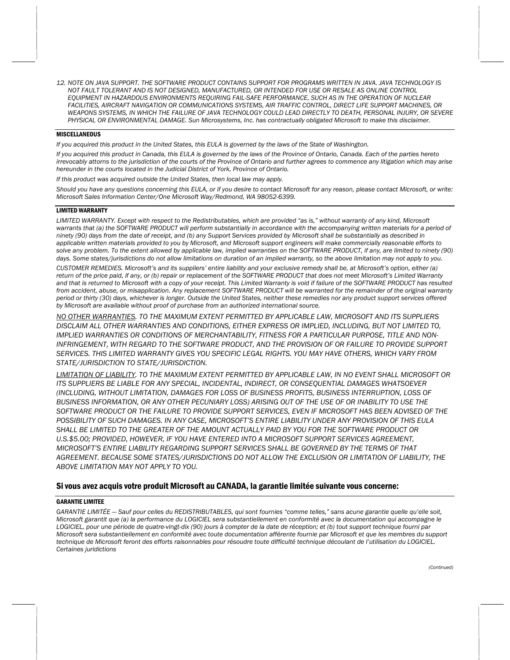12. NOTE ON JAVA SUPPORT. THE SOFTWARE PRODUCT CONTAINS SUPPORT FOR PROGRAMS WRITTEN IN JAVA. JAVA TECHNOLOGY IS NOT FAULT TOLERANT AND IS NOT DESIGNED, MANUFACTURED, OR INTENDED FOR USE OR RESALE AS ONLINE CONTROL EQUIPMENT IN HAZARDOUS ENVIRONMENTS REQUIRING FAIL-SAFE PERFORMANCE, SUCH AS IN THE OPERATION OF NUCLEAR FACILITIES, AIRCRAFT NAVIGATION OR COMMUNICATIONS SYSTEMS, AIR TRAFFIC CONTROL, DIRECT LIFE SUPPORT MACHINES, OR WEAPONS SYSTEMS, IN WHICH THE FAILURE OF JAVA TECHNOLOGY COULD LEAD DIRECTLY TO DEATH, PERSONAL INJURY, OR SEVERE PHYSICAL OR ENVIRONMENTAL DAMAGE. Sun Microsystems, Inc. has contractually obligated Microsoft to make this disclaimer.

## **MISCELLANEOUS**

If you acquired this product in the United States, this EULA is governed by the laws of the State of Washington.

If you acquired this product in Canada, this EULA is governed by the laws of the Province of Ontario, Canada. Each of the parties hereto irrevocably attorns to the jurisdiction of the courts of the Province of Ontario and further agrees to commence any litigation which may arise hereunder in the courts located in the Judicial District of York, Province of Ontario.

If this product was acquired outside the United States, then local law may apply.

Should you have any questions concerning this EULA, or if you desire to contact Microsoft for any reason, please contact Microsoft, or write: Microsoft Sales Information Center/One Microsoft Way/Redmond, WA 98052-6399.

#### LIMITED WARRANTY

LIMITED WARRANTY. Except with respect to the Redistributables, which are provided "as is," without warranty of any kind, Microsoft warrants that (a) the SOFTWARE PRODUCT will perform substantially in accordance with the accompanying written materials for a period of ninety (90) days from the date of receipt, and (b) any Support Services provided by Microsoft shall be substantially as described in applicable written materials provided to you by Microsoft, and Microsoft support engineers will make commercially reasonable efforts to solve any problem. To the extent allowed by applicable law, implied warranties on the SOFTWARE PRODUCT, if any, are limited to ninety (90) days. Some states/jurisdictions do not allow limitations on duration of an implied warranty, so the above limitation may not apply to you.

CUSTOMER REMEDIES. Microsoft's and its suppliers' entire liability and your exclusive remedy shall be, at Microsoft's option, either (a) return of the price paid, if any, or (b) repair or replacement of the SOFTWARE PRODUCT that does not meet Microsoft's Limited Warranty and that is returned to Microsoft with a copy of your receipt. This Limited Warranty is void if failure of the SOFTWARE PRODUCT has resulted from accident, abuse, or misapplication. Any replacement SOFTWARE PRODUCT will be warranted for the remainder of the original warranty period or thirty (30) days, whichever is longer. Outside the United States, neither these remedies nor any product support services offered by Microsoft are available without proof of purchase from an authorized international source.

NO OTHER WARRANTIES. TO THE MAXIMUM EXTENT PERMITTED BY APPLICABLE LAW, MICROSOFT AND ITS SUPPLIERS DISCLAIM ALL OTHER WARRANTIES AND CONDITIONS, EITHER EXPRESS OR IMPLIED, INCLUDING, BUT NOT LIMITED TO, IMPLIED WARRANTIES OR CONDITIONS OF MERCHANTABILITY, FITNESS FOR A PARTICULAR PURPOSE, TITLE AND NON-INFRINGEMENT, WITH REGARD TO THE SOFTWARE PRODUCT, AND THE PROVISION OF OR FAILURE TO PROVIDE SUPPORT SERVICES. THIS LIMITED WARRANTY GIVES YOU SPECIFIC LEGAL RIGHTS. YOU MAY HAVE OTHERS, WHICH VARY FROM STATE/JURISDICTION TO STATE/JURISDICTION.

LIMITATION OF LIABILITY. TO THE MAXIMUM EXTENT PERMITTED BY APPLICABLE LAW, IN NO EVENT SHALL MICROSOFT OR ITS SUPPLIERS BE LIABLE FOR ANY SPECIAL, INCIDENTAL, INDIRECT, OR CONSEQUENTIAL DAMAGES WHATSOEVER (INCLUDING, WITHOUT LIMITATION, DAMAGES FOR LOSS OF BUSINESS PROFITS, BUSINESS INTERRUPTION, LOSS OF BUSINESS INFORMATION, OR ANY OTHER PECUNIARY LOSS) ARISING OUT OF THE USE OF OR INABILITY TO USE THE SOFTWARE PRODUCT OR THE FAILURE TO PROVIDE SUPPORT SERVICES, EVEN IF MICROSOFT HAS BEEN ADVISED OF THE POSSIBILITY OF SUCH DAMAGES. IN ANY CASE, MICROSOFT'S ENTIRE LIABILITY UNDER ANY PROVISION OF THIS EULA SHALL BE LIMITED TO THE GREATER OF THE AMOUNT ACTUALLY PAID BY YOU FOR THE SOFTWARE PRODUCT OR U.S.\$5.00; PROVIDED, HOWEVER, IF YOU HAVE ENTERED INTO A MICROSOFT SUPPORT SERVICES AGREEMENT, MICROSOFT'S ENTIRE LIABILITY REGARDING SUPPORT SERVICES SHALL BE GOVERNED BY THE TERMS OF THAT AGREEMENT. BECAUSE SOME STATES/JURISDICTIONS DO NOT ALLOW THE EXCLUSION OR LIMITATION OF LIABILITY, THE ABOVE LIMITATION MAY NOT APPLY TO YOU.

## Si vous avez acquis votre produit Microsoft au CANADA, la garantie limitée suivante vous concerne:

#### GARANTIE LIMITEE

GARANTIE LIMITÉE — Sauf pour celles du REDISTRIBUTABLES, qui sont fournies "comme telles," sans acune garantie quelle qu'elle soit, Microsoft garantit que (a) la performance du LOGICIEL sera substantiellement en conformité avec la documentation qui accompagne le LOGICIEL, pour une période de quatre-vingt-dix (90) jours à compter de la date de réception; et (b) tout support technique fourni par Microsoft sera substantiellement en conformité avec toute documentation afférente fournie par Microsoft et que les membres du support technique de Microsoft feront des efforts raisonnables pour résoudre toute difficulté technique découlant de l'utilisation du LOGICIEL. Certaines juridictions